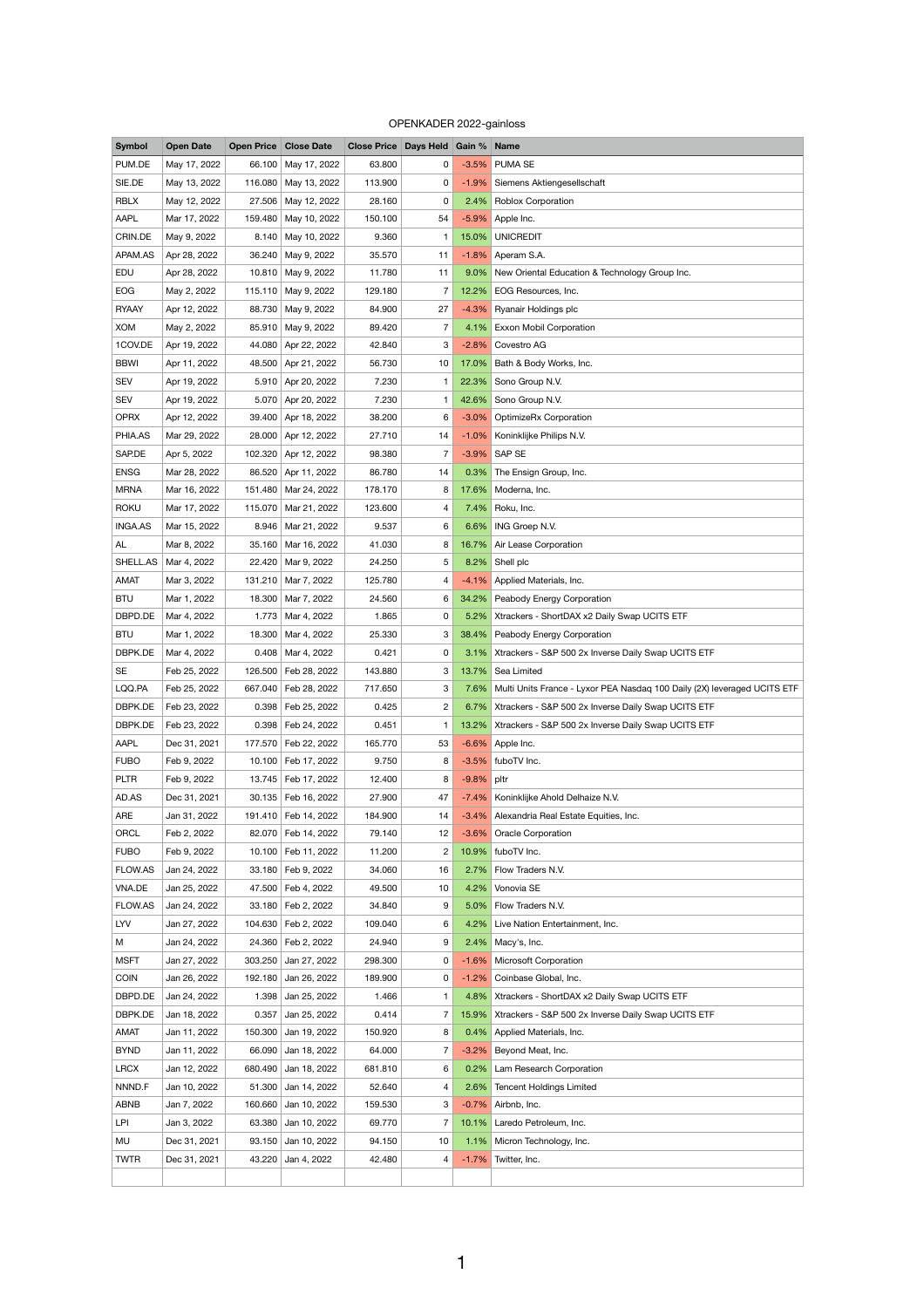## OPENKADER 2022-gainloss

| <b>Symbol</b>  | <b>Open Date</b> |         | <b>Open Price Close Date</b> | <b>Close Price Days Held Gain % Name</b> |                |               |                                                                               |
|----------------|------------------|---------|------------------------------|------------------------------------------|----------------|---------------|-------------------------------------------------------------------------------|
| PUM.DE         | May 17, 2022     | 66.100  | May 17, 2022                 | 63.800                                   | $\mathbf{0}$   |               | -3.5% PUMA SE                                                                 |
| SIE.DE         | May 13, 2022     | 116.080 | May 13, 2022                 | 113.900                                  | 0              |               | -1.9% Siemens Aktiengesellschaft                                              |
| <b>RBLX</b>    | May 12, 2022     | 27.506  | May 12, 2022                 | 28.160                                   | 0              |               | 2.4% Roblox Corporation                                                       |
| AAPL           | Mar 17, 2022     | 159.480 | May 10, 2022                 | 150.100                                  | 54             |               | -5.9% Apple Inc.                                                              |
| CRIN.DE        | May 9, 2022      | 8.140   | May 10, 2022                 | 9.360                                    |                |               | 15.0% UNICREDIT                                                               |
| APAM.AS        | Apr 28, 2022     | 36.240  | May 9, 2022                  | 35.570                                   | 11             |               | $-1.8\%$ Aperam S.A.                                                          |
| <b>EDU</b>     | Apr 28, 2022     | 10.810  | May 9, 2022                  | 11.780                                   | 11             |               | 9.0% New Oriental Education & Technology Group Inc.                           |
| <b>EOG</b>     | May 2, 2022      |         | 115.110 May 9, 2022          | 129.180                                  | $\overline{7}$ |               | 12.2% EOG Resources, Inc.                                                     |
| <b>RYAAY</b>   | Apr 12, 2022     | 88.730  | May 9, 2022                  | 84.900                                   | 27             |               | -4.3% Ryanair Holdings plc                                                    |
| <b>XOM</b>     | May 2, 2022      | 85.910  | May 9, 2022                  | 89.420                                   | $\overline{7}$ |               | 4.1% Exxon Mobil Corporation                                                  |
| 1COV.DE        | Apr 19, 2022     | 44.080  | Apr 22, 2022                 | 42.840                                   | 3              |               | -2.8% Covestro AG                                                             |
| <b>BBWI</b>    | Apr 11, 2022     | 48.500  | Apr 21, 2022                 | 56.730                                   | 10             | $17.0\%$      | Bath & Body Works, Inc.                                                       |
| <b>SEV</b>     | Apr 19, 2022     | 5.910   | Apr 20, 2022                 | 7.230                                    | $\mathbf{1}$   |               | 22.3% Sono Group N.V.                                                         |
| <b>SEV</b>     | Apr 19, 2022     |         | 5.070 Apr 20, 2022           | 7.230                                    |                |               | 42.6% Sono Group N.V.                                                         |
| <b>OPRX</b>    | Apr 12, 2022     | 39.400  | Apr 18, 2022                 | 38.200                                   | 6              |               | -3.0% OptimizeRx Corporation                                                  |
| PHIA.AS        | Mar 29, 2022     |         | 28.000 Apr 12, 2022          | 27.710                                   | 14             |               | -1.0% Koninklijke Philips N.V.                                                |
| SAP.DE         | Apr 5, 2022      | 102.320 | Apr 12, 2022                 | 98.380                                   | 7              |               | -3.9% SAP SE                                                                  |
| <b>ENSG</b>    | Mar 28, 2022     | 86.520  | Apr 11, 2022                 | 86.780                                   | 14             | $0.3\%$       | The Ensign Group, Inc.                                                        |
| <b>MRNA</b>    | Mar 16, 2022     | 151.480 | Mar 24, 2022                 | 178.170                                  | 8              |               | 17.6% Moderna, Inc.                                                           |
| <b>ROKU</b>    | Mar 17, 2022     | 115.070 |                              | 123.600                                  |                |               | 7.4% Roku, Inc.                                                               |
|                |                  |         | Mar 21, 2022                 |                                          | 4              |               |                                                                               |
| <b>INGA.AS</b> | Mar 15, 2022     |         | 8.946   Mar 21, 2022         | 9.537                                    | 6              |               | 6.6% ING Groep N.V.                                                           |
| AL             | Mar 8, 2022      |         | 35.160 Mar 16, 2022          | 41.030                                   | 8              |               | 16.7% Air Lease Corporation                                                   |
| SHELL.AS       | Mar 4, 2022      |         | 22.420 Mar 9, 2022           | 24.250                                   | 5              |               | 8.2% Shell plc                                                                |
| <b>AMAT</b>    | Mar 3, 2022      |         | 131.210 Mar 7, 2022          | 125.780                                  | 4              |               | -4.1% Applied Materials, Inc.                                                 |
| <b>BTU</b>     | Mar 1, 2022      |         | 18.300   Mar 7, 2022         | 24.560                                   | 6              |               | 34.2% Peabody Energy Corporation                                              |
| DBPD.DE        | Mar 4, 2022      |         | 1.773   Mar 4, 2022          | 1.865                                    | 0              |               | 5.2% Xtrackers - ShortDAX x2 Daily Swap UCITS ETF                             |
| <b>BTU</b>     | Mar 1, 2022      | 18.300  | Mar 4, 2022                  | 25.330                                   | 3              |               | 38.4% Peabody Energy Corporation                                              |
| DBPK.DE        | Mar 4, 2022      |         | $0.408$ Mar 4, 2022          | 0.421                                    | 0              |               | 3.1% Xtrackers - S&P 500 2x Inverse Daily Swap UCITS ETF                      |
| <b>SE</b>      | Feb 25, 2022     |         | 126.500 Feb 28, 2022         | 143.880                                  | 3              |               | 13.7% Sea Limited                                                             |
| LQQ.PA         | Feb 25, 2022     |         | 667.040   Feb 28, 2022       | 717.650                                  | 3              |               | 7.6% Multi Units France - Lyxor PEA Nasdaq 100 Daily (2X) leveraged UCITS ETF |
| DBPK.DE        | Feb 23, 2022     |         | 0.398   Feb 25, 2022         | 0.425                                    | $\overline{2}$ |               | 6.7% Xtrackers - S&P 500 2x Inverse Daily Swap UCITS ETF                      |
| DBPK.DE        | Feb 23, 2022     |         | 0.398   Feb 24, 2022         | 0.451                                    |                |               | 13.2% Xtrackers - S&P 500 2x Inverse Daily Swap UCITS ETF                     |
| <b>AAPL</b>    | Dec 31, 2021     |         | 177.570 Feb 22, 2022         | 165.770                                  | 53             |               | -6.6% Apple Inc.                                                              |
| <b>FUBO</b>    | Feb 9, 2022      |         | 10.100   Feb 17, 2022        | 9.750                                    | 8              |               | -3.5% fuboTV Inc.                                                             |
| <b>PLTR</b>    | Feb 9, 2022      |         | 13.745   Feb 17, 2022        | 12.400                                   | 8              | $-9.8\%$ pltr |                                                                               |
| AD.AS          | Dec 31, 2021     |         | 30.135   Feb 16, 2022        | 27.900                                   | 47             |               | -7.4% Koninklijke Ahold Delhaize N.V.                                         |
| <b>ARE</b>     | Jan 31, 2022     |         | 191.410   Feb 14, 2022       | 184.900                                  | 14             |               | -3.4% Alexandria Real Estate Equities, Inc.                                   |
| ORCL           | Feb 2, 2022      |         | 82.070   Feb 14, 2022        | 79.140                                   | 12             |               | -3.6% Oracle Corporation                                                      |
| <b>FUBO</b>    | Feb 9, 2022      | 10.100  | Feb 11, 2022                 | 11.200                                   | 2              |               | 10.9% fuboTV Inc.                                                             |
| <b>FLOW.AS</b> | Jan 24, 2022     |         | 33.180   Feb 9, 2022         | 34.060                                   | 16             |               | 2.7% Flow Traders N.V.                                                        |
| VNA.DE         | Jan 25, 2022     |         | 47.500   Feb 4, 2022         | 49.500                                   | 10             | 4.2%          | Vonovia SE                                                                    |
| FLOW.AS        | Jan 24, 2022     |         | 33.180   Feb 2, 2022         | 34.840                                   | 9              |               | 5.0% Flow Traders N.V.                                                        |
| LYV            | Jan 27, 2022     |         | 104.630 Feb 2, 2022          | 109.040                                  | 6              |               | 4.2% Live Nation Entertainment, Inc.                                          |
| М              | Jan 24, 2022     |         | 24.360   Feb 2, 2022         | 24.940                                   | 9              |               | 2.4% Macy's, Inc.                                                             |
| <b>MSFT</b>    | Jan 27, 2022     | 303.250 | Jan 27, 2022                 | 298.300                                  | 0              |               | -1.6% Microsoft Corporation                                                   |
| <b>COIN</b>    | Jan 26, 2022     | 192.180 | Jan 26, 2022                 | 189.900                                  | 0              |               | -1.2% Coinbase Global, Inc.                                                   |
| DBPD.DE        | Jan 24, 2022     | 1.398   | Jan 25, 2022                 | 1.466                                    |                |               | 4.8% Xtrackers - ShortDAX x2 Daily Swap UCITS ETF                             |
| DBPK.DE        | Jan 18, 2022     | 0.357   | Jan 25, 2022                 | 0.414                                    | $\overline{7}$ |               | 15.9%   Xtrackers - S&P 500 2x Inverse Daily Swap UCITS ETF                   |
| AMAT           | Jan 11, 2022     | 150.300 | Jan 19, 2022                 | 150.920                                  | 8              |               | 0.4% Applied Materials, Inc.                                                  |
| <b>BYND</b>    | Jan 11, 2022     | 66.090  | Jan 18, 2022                 | 64.000                                   | 7              | $-3.2\%$      | Beyond Meat, Inc.                                                             |
| <b>LRCX</b>    | Jan 12, 2022     | 680.490 | Jan 18, 2022                 | 681.810                                  | 6              |               | 0.2% Lam Research Corporation                                                 |
| NNND.F         | Jan 10, 2022     | 51.300  | Jan 14, 2022                 | 52.640                                   |                |               | 2.6% Tencent Holdings Limited                                                 |
|                |                  |         |                              |                                          | 4              |               |                                                                               |
| <b>ABNB</b>    | Jan 7, 2022      | 160.660 | Jan 10, 2022                 | 159.530                                  | 3              |               | $-0.7\%$ Airbnb, Inc.                                                         |
| <b>LPI</b>     | Jan 3, 2022      | 63.380  | Jan 10, 2022                 | 69.770                                   |                |               | 10.1% Laredo Petroleum, Inc.                                                  |
| MU             | Dec 31, 2021     | 93.150  | Jan 10, 2022                 | 94.150                                   | 10             |               | 1.1% Micron Technology, Inc.                                                  |
| <b>TWTR</b>    | Dec 31, 2021     | 43.220  | Jan 4, 2022                  | 42.480                                   | 4              |               | -1.7% Twitter, Inc.                                                           |
|                |                  |         |                              |                                          |                |               |                                                                               |

1